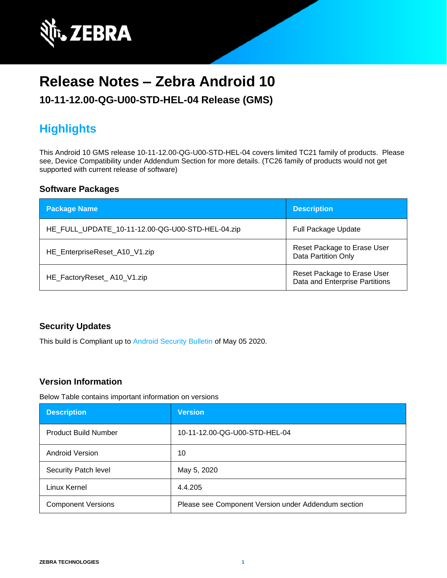

# **Release Notes – Zebra Android 10**

#### **10-11-12.00-QG-U00-STD-HEL-04 Release (GMS)**

## **Highlights**

This Android 10 GMS release 10-11-12.00-QG-U00-STD-HEL-04 covers limited TC21 family of products. Please see, Device Compatibility under Addendum Section for more details. (TC26 family of products would not get supported with current release of software)

#### **Software Packages**

| <b>Package Name</b>                              | <b>Description</b>                                            |
|--------------------------------------------------|---------------------------------------------------------------|
| HE_FULL_UPDATE_10-11-12.00-QG-U00-STD-HEL-04.zip | <b>Full Package Update</b>                                    |
| HE_EnterpriseReset_A10_V1.zip                    | Reset Package to Erase User<br><b>Data Partition Only</b>     |
| HE_FactoryReset_A10_V1.zip                       | Reset Package to Erase User<br>Data and Enterprise Partitions |

#### **Security Updates**

This build is Compliant up to [Android Security Bulletin](https://source.android.com/security/bulletin/) of May 05 2020.

#### **Version Information**

Below Table contains important information on versions

| <b>Description</b>          | <b>Version</b>                                      |
|-----------------------------|-----------------------------------------------------|
| <b>Product Build Number</b> | 10-11-12.00-QG-U00-STD-HEL-04                       |
| Android Version             | 10                                                  |
| Security Patch level        | May 5, 2020                                         |
| Linux Kernel                | 4.4.205                                             |
| <b>Component Versions</b>   | Please see Component Version under Addendum section |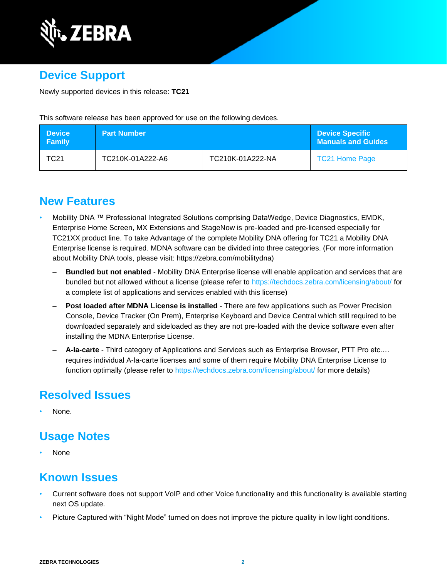

### **Device Support**

Newly supported devices in this release: **TC21**

This software release has been approved for use on the following devices.

| <b>Device</b><br><b>Family</b> | <b>Part Number</b> |                  | <b>Device Specific</b><br><b>Manuals and Guides</b> |
|--------------------------------|--------------------|------------------|-----------------------------------------------------|
| TC21                           | TC210K-01A222-A6   | TC210K-01A222-NA | <b>TC21 Home Page</b>                               |

#### **New Features**

- Mobility DNA ™ Professional Integrated Solutions comprising DataWedge, Device Diagnostics, EMDK, Enterprise Home Screen, MX Extensions and StageNow is pre-loaded and pre-licensed especially for TC21XX product line. To take Advantage of the complete Mobility DNA offering for TC21 a Mobility DNA Enterprise license is required. MDNA software can be divided into three categories. (For more information about Mobility DNA tools, please visit: [https://zebra.com/mobilitydna\)](https://zebra.com/mobilitydna)
	- ‒ **Bundled but not enabled** Mobility DNA Enterprise license will enable application and services that are bundled but not allowed without a license (please refer to<https://techdocs.zebra.com/licensing/about/> for a complete list of applications and services enabled with this license)
	- ‒ **Post loaded after MDNA License is installed** There are few applications such as Power Precision Console, Device Tracker (On Prem), Enterprise Keyboard and Device Central which still required to be downloaded separately and sideloaded as they are not pre-loaded with the device software even after installing the MDNA Enterprise License.
	- ‒ **A-la-carte** Third category of Applications and Services such as Enterprise Browser, PTT Pro etc.… requires individual A-la-carte licenses and some of them require Mobility DNA Enterprise License to function optimally (please refer to<https://techdocs.zebra.com/licensing/about/> for more details)

### **Resolved Issues**

None.

### **Usage Notes**

**None** 

#### **Known Issues**

- Current software does not support VoIP and other Voice functionality and this functionality is available starting next OS update.
- Picture Captured with "Night Mode" turned on does not improve the picture quality in low light conditions.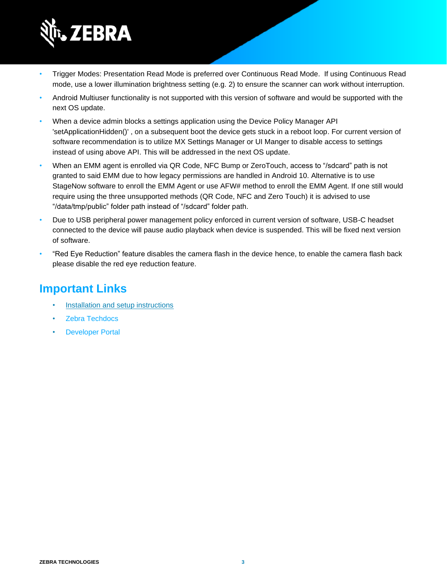

- Trigger Modes: Presentation Read Mode is preferred over Continuous Read Mode. If using Continuous Read mode, use a lower illumination brightness setting (e.g. 2) to ensure the scanner can work without interruption.
- Android Multiuser functionality is not supported with this version of software and would be supported with the next OS update.
- When a device admin blocks a settings application using the Device Policy Manager API 'setApplicationHidden()' , on a subsequent boot the device gets stuck in a reboot loop. For current version of software recommendation is to utilize MX Settings Manager or UI Manger to disable access to settings instead of using above API. This will be addressed in the next OS update.
- When an EMM agent is enrolled via QR Code, NFC Bump or ZeroTouch, access to "/sdcard" path is not granted to said EMM due to how legacy permissions are handled in Android 10. Alternative is to use StageNow software to enroll the EMM Agent or use AFW# method to enroll the EMM Agent. If one still would require using the three unsupported methods (QR Code, NFC and Zero Touch) it is advised to use "/data/tmp/public" folder path instead of "/sdcard" folder path.
- Due to USB peripheral power management policy enforced in current version of software, USB-C headset connected to the device will pause audio playback when device is suspended. This will be fixed next version of software.
- "Red Eye Reduction" feature disables the camera flash in the device hence, to enable the camera flash back please disable the red eye reduction feature.

#### **Important Links**

- [Installation and setup instructions](https://www.zebra.com/content/dam/zebra_new_ia/en-us/software/operating-system/helios/a10-os-update-instructions.pdf)
- [Zebra Techdocs](http://techdocs.zebra.com/)
- **[Developer Portal](http://developer.zebra.com/)**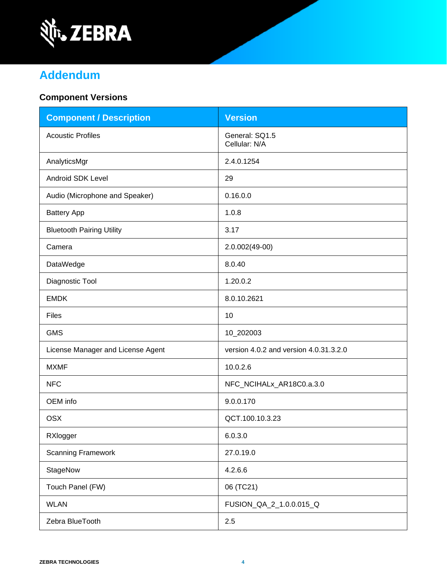

## **Addendum**

#### **Component Versions**

| <b>Component / Description</b>    | <b>Version</b>                         |
|-----------------------------------|----------------------------------------|
| <b>Acoustic Profiles</b>          | General: SQ1.5<br>Cellular: N/A        |
| AnalyticsMgr                      | 2.4.0.1254                             |
| Android SDK Level                 | 29                                     |
| Audio (Microphone and Speaker)    | 0.16.0.0                               |
| <b>Battery App</b>                | 1.0.8                                  |
| <b>Bluetooth Pairing Utility</b>  | 3.17                                   |
| Camera                            | 2.0.002(49-00)                         |
| DataWedge                         | 8.0.40                                 |
| Diagnostic Tool                   | 1.20.0.2                               |
| <b>EMDK</b>                       | 8.0.10.2621                            |
| <b>Files</b>                      | 10                                     |
| <b>GMS</b>                        | 10_202003                              |
| License Manager and License Agent | version 4.0.2 and version 4.0.31.3.2.0 |
| <b>MXMF</b>                       | 10.0.2.6                               |
| <b>NFC</b>                        | NFC_NCIHALx_AR18C0.a.3.0               |
| OEM info                          | 9.0.0.170                              |
| <b>OSX</b>                        | QCT.100.10.3.23                        |
| RXlogger                          | 6.0.3.0                                |
| <b>Scanning Framework</b>         | 27.0.19.0                              |
| StageNow                          | 4.2.6.6                                |
| Touch Panel (FW)                  | 06 (TC21)                              |
| <b>WLAN</b>                       | FUSION_QA_2_1.0.0.015_Q                |
| Zebra BlueTooth                   | 2.5                                    |